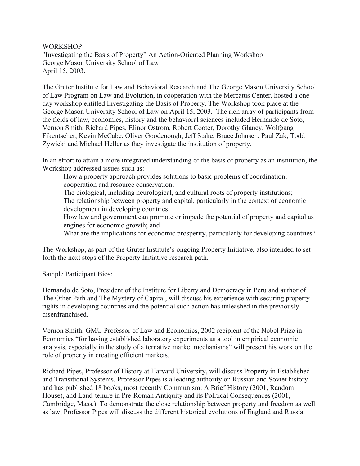**WORKSHOP** 

"Investigating the Basis of Property" An Action-Oriented Planning Workshop George Mason University School of Law April 15, 2003.

The Gruter Institute for Law and Behavioral Research and The George Mason University School of Law Program on Law and Evolution, in cooperation with the Mercatus Center, hosted a oneday workshop entitled Investigating the Basis of Property. The Workshop took place at the George Mason University School of Law on April 15, 2003. The rich array of participants from the fields of law, economics, history and the behavioral sciences included Hernando de Soto, Vernon Smith, Richard Pipes, Elinor Ostrom, Robert Cooter, Dorothy Glancy, Wolfgang Fikentscher, Kevin McCabe, Oliver Goodenough, Jeff Stake, Bruce Johnsen, Paul Zak, Todd Zywicki and Michael Heller as they investigate the institution of property.

In an effort to attain a more integrated understanding of the basis of property as an institution, the Workshop addressed issues such as:

How a property approach provides solutions to basic problems of coordination, cooperation and resource conservation; The biological, including neurological, and cultural roots of property institutions; The relationship between property and capital, particularly in the context of economic development in developing countries; How law and government can promote or impede the potential of property and capital as engines for economic growth; and

What are the implications for economic prosperity, particularly for developing countries?

The Workshop, as part of the Gruter Institute's ongoing Property Initiative, also intended to set forth the next steps of the Property Initiative research path.

Sample Participant Bios:

Hernando de Soto, President of the Institute for Liberty and Democracy in Peru and author of The Other Path and The Mystery of Capital, will discuss his experience with securing property rights in developing countries and the potential such action has unleashed in the previously disenfranchised.

Vernon Smith, GMU Professor of Law and Economics, 2002 recipient of the Nobel Prize in Economics "for having established laboratory experiments as a tool in empirical economic analysis, especially in the study of alternative market mechanisms" will present his work on the role of property in creating efficient markets.

Richard Pipes, Professor of History at Harvard University, will discuss Property in Established and Transitional Systems. Professor Pipes is a leading authority on Russian and Soviet history and has published 18 books, most recently Communism: A Brief History (2001, Random House), and Land-tenure in Pre-Roman Antiquity and its Political Consequences (2001, Cambridge, Mass.) To demonstrate the close relationship between property and freedom as well as law, Professor Pipes will discuss the different historical evolutions of England and Russia.